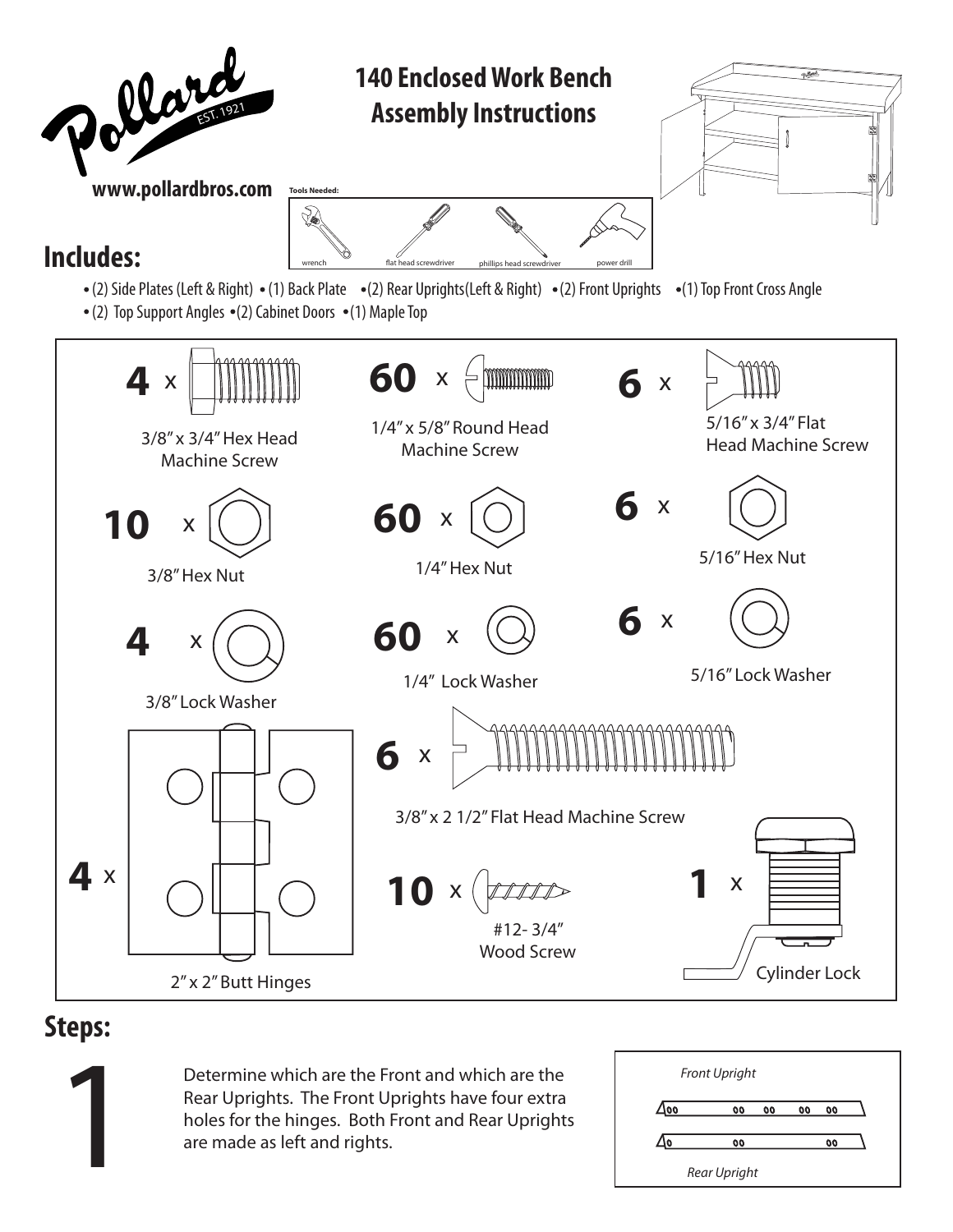

- (2) Side Plates (Left & Right) (1) Back Plate (2) Rear Uprights(Left & Right) (2) Front Uprights (1) Top Front Cross Angle
	- $\bullet$  (2) Top Support Angles  $\bullet$  (2) Cabinet Doors  $\bullet$  (1) Maple Top



## **Steps:**

Determine which are the Front and which are the<br>Rear Uprights. The Front Uprights have four extra<br>holes for the hinges. Both Front and Rear Upright<br>are made as left and rights. Rear Uprights. The Front Uprights have four extra holes for the hinges. Both Front and Rear Uprights are made as left and rights.

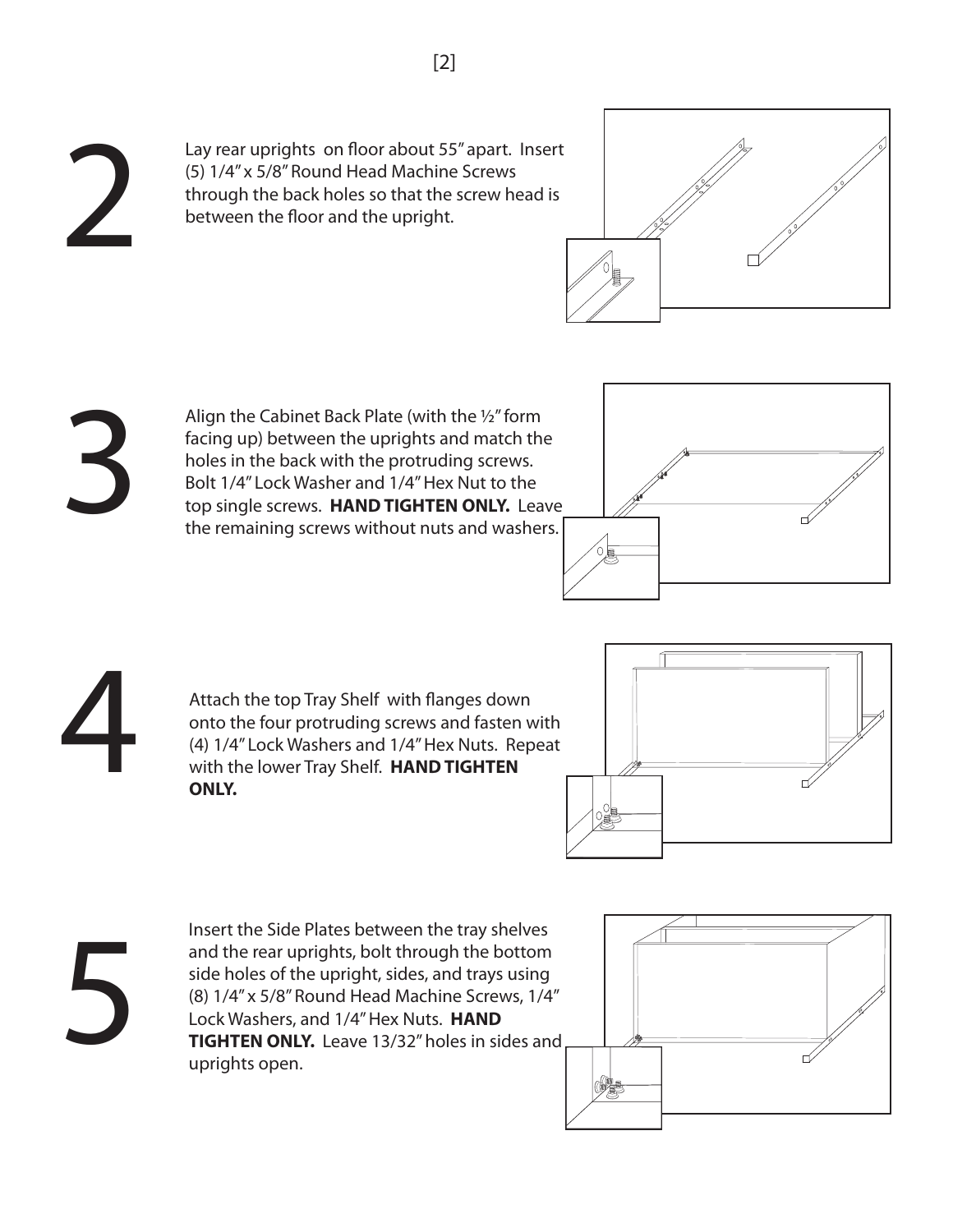Lay rear uprights on floor about 55" apart. Insert (5) 1/4" x 5/8" Round Head Machine Screws through the back holes so that the screw head is between the floor and the upright.



3

Align the Cabinet Back Plate (with the ½" form facing up) between the uprights and match the holes in the back with the protruding screws. Bolt 1/4" Lock Washer and 1/4" Hex Nut to the top single screws. **HAND TIGHTEN ONLY.** Leave the remaining screws without nuts and washers.



Attach the top Tray Shelf with flanges down onto the four protruding screws and fasten with (4) 1/4" Lock Washers and 1/4" Hex Nuts. Repeat Attach the top Tray Shelf with flanges down<br>onto the four protruding screws and fasten<br>(4) 1/4" Lock Washers and 1/4" Hex Nuts. Re<br>with the lower Tray Shelf. **HAND TIGHTEN<br>ONLY. ONLY.** 



Insert the Side Plates between the tray shelves and the rear uprights, bolt through the bottom side holes of the upright, sides, and trays using (8) 1/4" x 5/8" Round Head Machine Screws, 1/4" Lock Washers, and 1/4" Hex Nuts. **HAND**  Insert the Side Plates between the tray shelves<br>and the rear uprights, bolt through the bottom<br>side holes of the upright, sides, and trays using<br>(8) 1/4" x 5/8" Round Head Machine Screws, 1/4"<br>Lock Washers, and 1/4" Hex Nu uprights open.

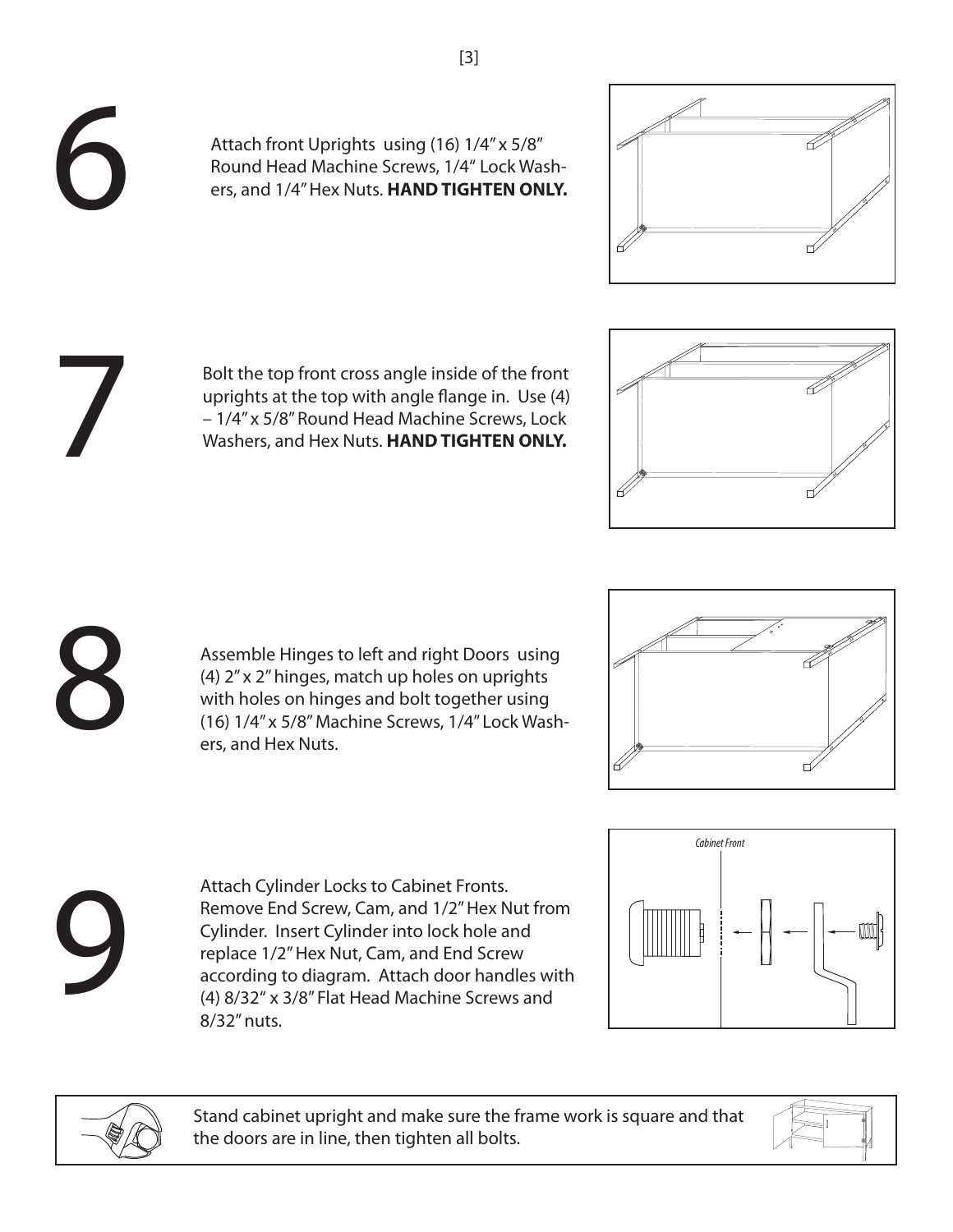

6

Bolt the top front cross angle inside of the front uprights at the top with angle flange in. Use (4) – 1/4" x 5/8" Round Head Machine Screws, Lock Washers, and Hex Nuts. **HAND TIGHTEN ONLY.**

Attach front Uprights using (16) 1/4" x 5/8"

## 8

9

6

7

Assemble Hinges to left and right Doors using (4) 2" x 2" hinges, match up holes on uprights with holes on hinges and bolt together using (16) 1/4" x 5/8" Machine Screws, 1/4" Lock Washers, and Hex Nuts.

Attach Cylinder Locks to Cabinet Fronts.

8/32" nuts.

Remove End Screw, Cam, and 1/2" Hex Nut from Cylinder. Insert Cylinder into lock hole and replace 1/2" Hex Nut, Cam, and End Screw

according to diagram. Attach door handles with (4) 8/32" x 3/8" Flat Head Machine Screws and









Stand cabinet upright and make sure the frame work is square and that the doors are in line, then tighten all bolts.